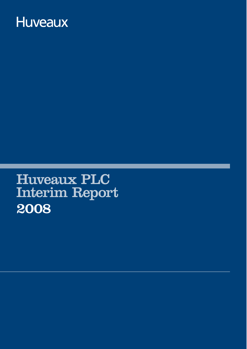# **Huveaux**

Huveaux PLC Interim Report 2008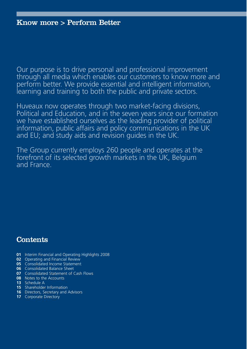Our purpose is to drive personal and professional improvement through all media which enables our customers to know more and perform better. We provide essential and intelligent information, learning and training to both the public and private sectors.

Huveaux now operates through two market-facing divisions, Political and Education, and in the seven years since our formation we have established ourselves as the leading provider of political information, public affairs and policy communications in the UK and EU; and study aids and revision guides in the UK.

The Group currently employs 260 people and operates at the forefront of its selected growth markets in the UK, Belgium and France.

### **Contents**

- **01** Interim Financial and Operating Highlights 2008
- **02** Operating and Financial Review
- **05** Consolidated Income Statement
- **06** Consolidated Balance Sheet
- **07** Consolidated Statement of Cash Flows
- **08** Notes to the Accounts
- **13** Schedule A
- **15** Shareholder Information
- **16** Directors, Secretary and Advisors
- **17** Corporate Directory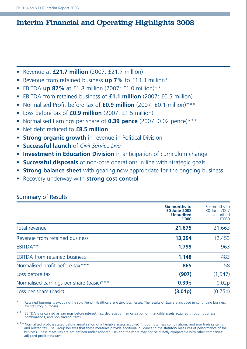### Interim Financial and Operating Highlights 2008

- Revenue at **£21.7 million** (2007: £21.7 million)
- Revenue from retained business **up 7%** to £13.3 million\*
- EBITDA **up 87%** at £1.8 million (2007: £1.0 million)\*\*
- EBITDA from retained business of **£1.1 million** (2007: £0.5 million)
- Normalised Profit before tax of **£0.9 million** (2007: £0.1 million)\*\*\*
- Loss before tax of **£0.9 million** (2007: £1.5 million)
- Normalised Earnings per share of **0.39 pence** (2007: 0.02 pence)\*\*\*
- Net debt reduced to **£8.5 million**
- **Strong organic growth** in revenue in Political Division
- **Successful launch** of *Civil Service Live*
- **Investment in Education Division** in anticipation of curriculum change
- **Successful disposals** of non-core operations in line with strategic goals
- **Strong balance sheet** with gearing now appropriate for the ongoing business
- Recovery underway with **strong cost control**

|                                          | Six months to<br>30 June 2008<br><b>Unaudited</b><br>£'000 | Six months to<br>30 June 2007<br>Unaudited<br>f'000 |
|------------------------------------------|------------------------------------------------------------|-----------------------------------------------------|
| Total revenue                            | 21,675                                                     | 21,663                                              |
| Revenue from retained business           | 13,294                                                     | 12,453                                              |
| EBITDA**                                 | 1.799                                                      | 963                                                 |
| <b>EBITDA</b> from retained business     | 1.148                                                      | 483                                                 |
| Normalised profit before tax***          | 865                                                        | 58                                                  |
| Loss before tax                          | (907)                                                      | (1, 547)                                            |
| Normalised earnings per share (basic)*** | 0.39 <sub>p</sub>                                          | 0.02p                                               |
| Loss per share (basic)                   | (3.01p)                                                    | (0.75p)                                             |

### Summary of Results

\* Retained business is excluding the sold French Healthcare and *Epic* businesses. The results of *Epic* are included in continuing business for statutory purposes

\*\* EBITDA is calculated as earnings before interest, tax, depreciation, amortisation of intangible assets acquired through business combinations, and non trading items

\*\*\* Normalised profit is stated before amortisation of intangible assets acquired through business combinations, and non trading items and related tax. The Group believes that these measures provide additional guidance to the statutory measures of performance of the business. These measures are not defined under adopted IFRS and therefore may not be directly comparable with other companies' adjusted profit measures.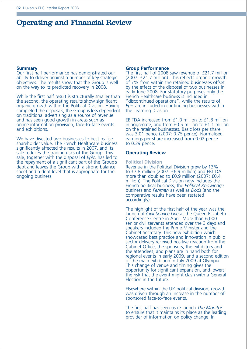### Operating and Financial Review

### **Summary**

Our first half performance has demonstrated our ability to deliver against a number of key strategic objectives. The results show that the Group is well on the way to its predicted recovery in 2008.

While the first half result is structurally smaller than the second, the operating results show significant organic growth within the Political Division. Having completed the disposals, the Group is less dependent on traditional advertising as a source of revenue and has seen good growth in areas such as online information provision, face-to-face events and exhibitions.

We have divested two businesses to best realise shareholder value. The French Healthcare business significantly affected the results in 2007, and its sale reduces the trading risks of the Group. This sale, together with the disposal of *Epic,* has led to the repayment of a significant part of the Group's debt and leaves the Group with a strong balance sheet and a debt level that is appropriate for the ongoing business.

#### **Group Performance**

The first half of 2008 saw revenue of £21.7 million (2007: £21.7 million). This reflects organic growth of 7% from within the retained businesses offset by the effect of the disposal of two businesses in early June 2008. For statutory purposes only the French Healthcare business is included in "discontinued operations", while the results of *Epic* are included in continuing businesses within the Learning Division.

EBITDA increased from £1.0 million to £1.8 million in aggregate, and from £0.5 million to £1.1 million on the retained businesses. Basic loss per share was 3.01 pence (2007: 0.75 pence). Normalised earnings per share increased from 0.02 pence to 0.39 pence.

### **Operating Review**

#### **Political Division**

Revenue in the Political Division grew by 13% to £7.8 million (2007: £6.9 million) and EBITDA more than doubled to £0.9 million (2007: £0.4 million). The Political Division now includes the French political business, the *Political Knowledge* business and *Fenman* as well as *Dods* (and the comparative results have been restated accordingly).

The highlight of the first half of the year was the launch of *Civil Service Live* at the Queen Elizabeth II Conference Centre in April. More than 6,000 senior civil servants attended over the 3 days and speakers included the Prime Minister and the Cabinet Secretary. This new exhibition which showcased best practice and innovation in public sector delivery received positive reaction from the Cabinet Office, the sponsors, the exhibitors and the attendees, and plans are in hand both for regional events in early 2009, and a second edition of the main exhibition in July 2009 at Olympia. This change of venue and timing gives the opportunity for significant expansion, and lowers the risk that the event might clash with a General Election in the future.

Elsewhere within the UK political division, growth was driven through an increase in the number of sponsored face-to-face events.

The first half has seen us re-launch *The Monitor* to ensure that it maintains its place as the leading provider of information on policy change. In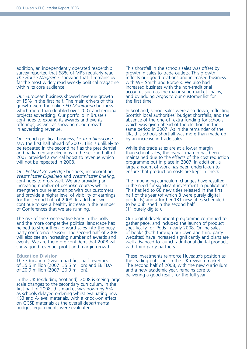addition, an independently operated readership survey reported that 68% of MP's regularly read *The House Magazine,* showing that it remains by far the most widely read weekly political magazine within its core audience.

Our European business showed revenue growth of 15% in the first half. The main drivers of this growth were the online *EU Monitoring* business which more than doubled over 2007 and regional projects advertising. Our portfolio in Brussels continues to expand its awards and events offerings, as well as showing good growth in advertising revenue.

Our French political business, *Le Trombinoscope,* saw the first half ahead of 2007. This is unlikely to be repeated in the second half as the presidential and parliamentary elections in the second half of 2007 provided a cyclical boost to revenue which will not be repeated in 2008.

Our *Political Knowledge* business, incorporating *Westminster Explained* and *Westminster Briefing,* continues to grow well. We are providing an increasing number of bespoke courses which strengthen our relationships with our customers and provide a higher level of visibility of earnings for the second half of 2008. In addition, we continue to see a healthy increase in the number of Conferences that we are running.

The rise of the Conservative Party in the polls and the more competitive political landscape has helped to strengthen forward sales into the busy party conference season. The second half of 2008 will also see an increasing number of awards and events. We are therefore confident that 2008 will show good revenue, profit and margin growth.

#### **Education Division**

The Education Division had first half revenues of £5.5 million (2007: £5.5 million) and EBITDA of £0.9 million (2007: £0.9 million).

In the UK (excluding Scotland), 2008 is seeing large scale changes to the secondary curriculum. In the first half of 2008, this market was down by 5% as schools delayed ordering whilst evaluating new KS3 and A-level materials, with a knock-on effect on GCSE materials as the overall departmental budget requirements were evaluated.

This shortfall in the schools sales was offset by growth in sales to trade outlets. This growth reflects our good relations and increased business with WH Smith and Borders. We also had increased business with the non-traditional accounts such as the major supermarket chains, and by adding Argos to our customer list for the first time.

In Scotland, school sales were also down, reflecting Scottish local authorities' budget shortfalls, and the absence of the one-off extra funding for schools which was given ahead of the elections in the same period in 2007. As in the remainder of the UK, this schools shortfall was more than made up by an increase in trade sales.

While the trade sales are at a lower margin than school sales, the overall margin has been maintained due to the effects of the cost reduction programme put in place in 2007. In addition, a large amount of work has been undertaken to ensure that production costs are kept in check.

The impending curriculum changes have resulted in the need for significant investment in publications. This has led to 68 new titles released in the first half of the year (of which 8 were purely digital products) and a further 131 new titles scheduled to be published in the second half (11 purely digital).

Our digital development programme continued to gather pace, and included the launch of product specifically for iPods in early 2008. Online sales of books (both through our own and third party websites) have increased significantly and plans are well advanced to launch additional digital products with third party partners.

These investments reinforce Huveaux's position as the leading publisher in the UK revision market. The second half of 2008, with the new curriculum and a new academic year, remains core to delivering a good result for the full year.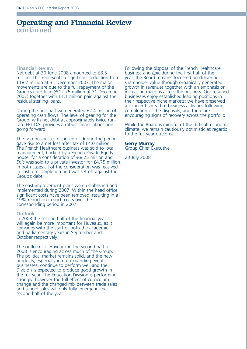### Operating and Financial Review continued

#### **Financial Review**

Net debt at 30 June 2008 amounted to £8.5 million. This represents a significant reduction from £18.7 million at 31 December 2007. The major movements are due to the full repayment of the Group's euro loan (€12.75 million at 31 December 2007) together with £1.1 million paid against the residual sterling loans.

During the first half we generated £2.4 million of operating cash flows. The level of gearing for the Group, with net debt at approximately twice runrate EBITDA, provides a robust financial position going forward.

The two businesses disposed of during the period gave rise to a net loss after tax of £4.0 million. The French Healthcare business was sold to local management, backed by a French Private Equity house, for a consideration of €8.25 million and *Epic* was sold to a private investor for £4.75 million. In both cases all of the consideration was received in cash on completion and was set off against the Group's debt.

The cost improvement plans were established and implemented during 2007. Within the head office, significant costs have been removed, resulting in a 19% reduction in such costs over the corresponding period in 2007.

#### **Outlook**

In 2008 the second half of the financial year will again be more important for Huveaux, as it coincides with the start of both the academic and parliamentary years in September and October respectively.

The outlook for Huveaux in the second half of 2008 is encouraging across much of the Group. The political market remains solid, and the new products, especially in our expanding events businesses, continue to perform well and the Division is expected to produce good growth in the full year. The Education Division is performing strongly; however the full effect of curriculum change and the changed mix between trade sales and school sales will only fully emerge in the second half of the year.

Following the disposal of the French Healthcare business and *Epic* during the first half of the year, the Board remains focussed on delivering shareholder value through organically generated growth in revenues together with an emphasis on increasing margins across the business. Our retained businesses enjoy established leading positions in their respective niche markets; we have preserved a coherent spread of business activities following completion of the disposals; and there are encouraging signs of recovery across the portfolio.

While the Board is mindful of the difficult economic climate, we remain cautiously optimistic as regards to the full year outcome.

### **Gerry Murray**

Group Chief Executive

23 July 2008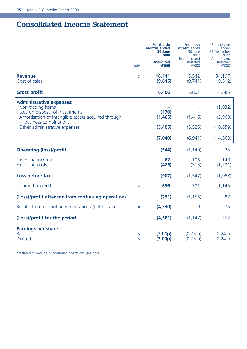### Consolidated Income Statement

|                                                                                                                                                                                                         | <b>Note</b> | For the six<br>months ended<br>30 June<br>2008<br><b>Unaudited</b><br>£'000 | For the six<br>months ended<br>30 June<br>2007<br>Unaudited and<br>Restated*<br>f'000 | For the year<br>ended<br>31 December<br>2007<br>Audited and<br>Restated*<br>£'000 |
|---------------------------------------------------------------------------------------------------------------------------------------------------------------------------------------------------------|-------------|-----------------------------------------------------------------------------|---------------------------------------------------------------------------------------|-----------------------------------------------------------------------------------|
| <b>Revenue</b><br>Cost of sales                                                                                                                                                                         | 3           | 16,111<br>(9,615)                                                           | 15,542<br>(9,741)                                                                     | 34,197<br>(19, 512)                                                               |
| <b>Gross profit</b>                                                                                                                                                                                     |             | 6,496                                                                       | 5,801                                                                                 | 14,685                                                                            |
| <b>Administrative expenses:</b><br>Non-trading items<br>Loss on disposal of investments<br>Amortisation of intangible assets acquired through<br>business combinations<br>Other administrative expenses |             | (170)<br>(1, 465)<br>(5,405)                                                | (1, 416)<br>(5, 525)                                                                  | (1,032)<br>(2,969)<br>(10, 659)                                                   |
|                                                                                                                                                                                                         |             | (7,040)                                                                     | (6,941)                                                                               | (14,660)                                                                          |
| <b>Operating (loss)/profit</b>                                                                                                                                                                          |             | (544)                                                                       | (1, 140)                                                                              | 25                                                                                |
| Financing income<br><b>Financing costs</b>                                                                                                                                                              |             | 62<br>(425)                                                                 | 106<br>(513)                                                                          | 148<br>(1, 231)                                                                   |
| Loss before tax                                                                                                                                                                                         |             | (907)                                                                       | (1, 547)                                                                              | (1,058)                                                                           |
| Income tax credit                                                                                                                                                                                       | 4           | 656                                                                         | 391                                                                                   | 1,145                                                                             |
| (Loss)/profit after tax from continuing operations                                                                                                                                                      |             | (251)                                                                       | (1, 156)                                                                              | 87                                                                                |
| Results from discontinued operations (net of tax)                                                                                                                                                       | 8           | (4,330)                                                                     | 9                                                                                     | 275                                                                               |
| (Loss)/profit for the period                                                                                                                                                                            |             | (4,581)                                                                     | (1, 147)                                                                              | 362                                                                               |
| <b>Earnings per share</b><br><b>Basic</b><br><b>Diluted</b>                                                                                                                                             | 5<br>5      | (3.01p)<br>(3.00 <sub>p</sub> )                                             | (0.75 p)<br>(0.75 p)                                                                  | 0.24 p<br>$0.24$ p                                                                |

\*restated to exclude discontinued operations (see note 8).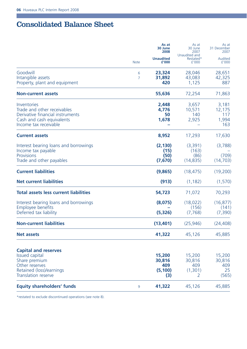Г

### Consolidated Balance Sheet

|                                                                                                                                            |                     | As at<br>30 June<br>2008                   | As at<br>30 June<br>2007                | As at<br>31 December<br>2007           |
|--------------------------------------------------------------------------------------------------------------------------------------------|---------------------|--------------------------------------------|-----------------------------------------|----------------------------------------|
|                                                                                                                                            | <b>Note</b>         | <b>Unaudited</b><br>£'000                  | Unaudited and<br>Restated*<br>f'000     | Audited<br>£'000                       |
| Goodwill<br>Intangible assets<br>Property, plant and equipment                                                                             | 6<br>$\overline{7}$ | 23,324<br>31,892<br>420                    | 28,046<br>43,083<br>1,125               | 28,651<br>42,325<br>887                |
| <b>Non-current assets</b>                                                                                                                  |                     | 55,636                                     | 72,254                                  | 71,863                                 |
| Inventories<br>Trade and other receivables<br>Derivative financial instruments<br>Cash and cash equivalents<br>Income tax receivable       |                     | 2,448<br>4,776<br>50<br>1,678              | 3,657<br>10,571<br>140<br>2,925         | 3,181<br>12,175<br>117<br>1,994<br>163 |
| <b>Current assets</b>                                                                                                                      |                     | 8,952                                      | 17,293                                  | 17,630                                 |
| Interest bearing loans and borrowings<br>Income tax payable<br><b>Provisions</b><br>Trade and other payables                               |                     | (2, 130)<br>(15)<br>(50)<br>(7,670)        | (3,391)<br>(163)<br>(86)<br>(14, 835)   | (3,788)<br>(709)<br>(14, 703)          |
| <b>Current liabilities</b>                                                                                                                 |                     | (9,865)                                    | (18, 475)                               | (19,200)                               |
| <b>Net current liabilities</b>                                                                                                             |                     | (913)                                      | (1, 182)                                | (1,570)                                |
| Total assets less current liabilities                                                                                                      |                     | 54,723                                     | 71,072                                  | 70,293                                 |
| Interest bearing loans and borrowings<br><b>Employee benefits</b><br>Deferred tax liability                                                |                     | (8,075)<br>(5, 326)                        | (18, 022)<br>(156)<br>(7, 768)          | (16, 877)<br>(141)<br>(7, 390)         |
| <b>Non-current liabilities</b>                                                                                                             |                     | (13, 401)                                  | (25, 946)                               | (24, 408)                              |
| <b>Net assets</b>                                                                                                                          |                     | 41,322                                     | 45,126                                  | 45,885                                 |
| <b>Capital and reserves</b><br><b>Issued capital</b><br>Share premium<br>Other reserves<br>Retained (loss)/earnings<br>Translation reserve |                     | 15,200<br>30,816<br>409<br>(5, 100)<br>(3) | 15,200<br>30,816<br>409<br>(1,301)<br>2 | 15,200<br>30,816<br>409<br>25<br>(565) |
| <b>Equity shareholders' funds</b>                                                                                                          | 9                   | 41,322                                     | 45,126                                  | 45,885                                 |

\*restated to exclude discontinued operations (see note 8).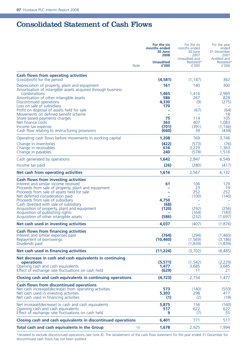### Consolidated Statement of Cash Flows

|                                                                                                                                                                                                                                                                                                                                                                                       | <b>Note</b> | For the six<br>months ended<br>30 June<br>2008<br><b>Unaudited</b><br>£'000 | For the six<br>months ended<br>30 June<br>2007<br>Unaudited and<br>Restated*<br>f'000 | For the year<br>ended<br>31 December<br>2007<br>Audited and<br>Restated*<br>£'000 |
|---------------------------------------------------------------------------------------------------------------------------------------------------------------------------------------------------------------------------------------------------------------------------------------------------------------------------------------------------------------------------------------|-------------|-----------------------------------------------------------------------------|---------------------------------------------------------------------------------------|-----------------------------------------------------------------------------------|
| Cash flows from operating activities                                                                                                                                                                                                                                                                                                                                                  |             |                                                                             |                                                                                       |                                                                                   |
| (Loss)/profit for the period<br>Depreciation of property, plant and equipment<br>Amortisation of intangible assets acquired through business                                                                                                                                                                                                                                          |             | (4,581)<br>161                                                              | (1, 147)<br>140                                                                       | 362<br>300                                                                        |
| combinations<br>Amortisation of other intangible assets<br>Discontinued operations                                                                                                                                                                                                                                                                                                    |             | 1.465<br>586<br>4,330                                                       | 1,416<br>267<br>(9)                                                                   | 2.969<br>828<br>(275)                                                             |
| Loss on sale of subsidiary<br>Profit on disposal of assets held for sale<br>Movements on defined benefit scheme                                                                                                                                                                                                                                                                       |             | 170                                                                         | (67)                                                                                  | (64)<br>18                                                                        |
| Share based payments charges<br>Net finance costs<br>Income tax expense<br>Cash flow relating to restructuring provisions                                                                                                                                                                                                                                                             |             | 75<br>363<br>(701)<br>(660)                                                 | 114<br>407<br>(391)<br>39                                                             | 105<br>1.083<br>(1, 146)<br>(434)                                                 |
| Operating cash flows before movements in working capital                                                                                                                                                                                                                                                                                                                              |             | 1,208                                                                       | 769                                                                                   | 3,746                                                                             |
| Change in inventories<br>Change in receivables<br>Change in payables                                                                                                                                                                                                                                                                                                                  |             | (422)<br>616<br>240                                                         | (573)<br>3.229<br>(578)                                                               | (76)<br>1.363<br>1,516                                                            |
| Cash generated by operations                                                                                                                                                                                                                                                                                                                                                          |             | 1,642                                                                       | 2,847                                                                                 | 6,549                                                                             |
| Income tax paid                                                                                                                                                                                                                                                                                                                                                                       |             | (26)                                                                        | (280)                                                                                 | (417)                                                                             |
| Net cash from operating activities                                                                                                                                                                                                                                                                                                                                                    |             | 1,616                                                                       | 2,567                                                                                 | 6,132                                                                             |
| Cash flows from investing activities<br>Interest and similar income received<br>Proceeds from sale of property, plant and equipment<br>Proceeds from sale of assets held for sale<br>Net deferred consideration paid<br>Proceeds from sale of subsidiary<br>Cash divested with sale of subsidiary<br>Acquisition of property, plant and equipment<br>Acquisition of publishing rights |             | 61<br>$\equiv$<br>4,750<br>(68)<br>(120)                                    | 106<br>23<br>252<br>(100)<br>(292)<br>(164)                                           | 129<br>19<br>252<br>(140)<br>(256)<br>(183)                                       |
| Acquisition of other intangible assets                                                                                                                                                                                                                                                                                                                                                |             | (586)                                                                       | (232)                                                                                 | (1,697)                                                                           |
| Net cash used in investing activities                                                                                                                                                                                                                                                                                                                                                 |             | 4,037                                                                       | (407)                                                                                 | (1,876)                                                                           |
| Cash flows from financing activities<br>Interest and similar expenses paid<br>Repayment of borrowings<br>Dividends paid                                                                                                                                                                                                                                                               |             | (764)<br>(10, 460)                                                          | (294)<br>(1, 569)<br>(1,839)                                                          | (1,460)<br>(3, 186)<br>(1,839)                                                    |
| Net cash used in financing activities                                                                                                                                                                                                                                                                                                                                                 |             | (11,224)                                                                    | (3,702)                                                                               | (6,485)                                                                           |
| Net decrease in cash and cash equivalents in continuing<br>operations<br>Opening cash and cash equivalents<br>Effect of exchange rate fluctuations on cash held                                                                                                                                                                                                                       |             | (5,571)<br>1,477<br>(629)                                                   | (1, 542)<br>3,685<br>11                                                               | (2,229)<br>3,685<br>21                                                            |
| Closing cash and cash equivalents in continuing operations                                                                                                                                                                                                                                                                                                                            |             | (4,723)                                                                     | 2,154                                                                                 | 1,477                                                                             |
| Cash flows from discontinued operations<br>Net cash increase/(decrease) from operating activities<br>Net cash used in investing activities<br>Net cash used in financing activities                                                                                                                                                                                                   |             | 573<br>5.303<br>(1)                                                         | (140)<br>298<br>(2)                                                                   | (559)<br>417<br>(18)                                                              |
| Net increase/(decrease) in cash and cash equivalents<br>Opening cash and cash equivalents<br>Effect of exchange rate fluctuations on cash held                                                                                                                                                                                                                                        |             | 5,875<br>517<br>9                                                           | 156<br>622<br>(7)                                                                     | (160)<br>622<br>55                                                                |
| Closing cash and cash equivalents in discontinued operations                                                                                                                                                                                                                                                                                                                          |             | 6,401                                                                       | 771                                                                                   | 517                                                                               |
| Total cash and cash equivalents in the Group                                                                                                                                                                                                                                                                                                                                          | 10          | 1,678                                                                       | 2,925                                                                                 | 1,994                                                                             |

\*restated to exclude discontinued operations (see note 8). The restatement of the cash flow statement for the year ended 31 December for discontinued cash flows has not been audited.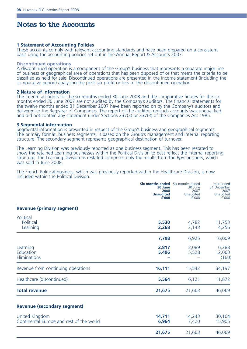### Notes to the Accounts

### **1 Statement of Accounting Policies**

These accounts comply with relevant accounting standards and have been prepared on a consistent basis using the accounting policies set out in the Annual Report & Accounts 2007.

### **Discontinued operations**

A discontinued operation is a component of the Group's business that represents a separate major line of business or geographical area of operations that has been disposed of or that meets the criteria to be classified as held for sale. Discontinued operations are presented in the income statement (including the comparative period) analysing the post-tax profit or loss of the discontinued operation.

#### **2 Nature of information**

The interim accounts for the six months ended 30 June 2008 and the comparative figures for the six months ended 30 June 2007 are not audited by the Company's auditors. The financial statements for the twelve months ended 31 December 2007 have been reported on by the Company's auditors and delivered to the Registrar of Companies. The report of the auditors on such accounts was unqualified and did not contain any statement under Sections 237(2) or 237(3) of the Companies Act 1985.

### **3 Segmental information**

Segmental information is presented in respect of the Group's business and geographical segments. The primary format, business segments, is based on the Group's management and internal reporting structure. The secondary segment represents geographical destination of turnover.

The Learning Division was previously reported as one business segment. This has been restated to show the retained Learning businesses within the Political Division to best reflect the internal reporting structure. The Learning Division as restated comprises only the results from the *Epic* business, which was sold in June 2008.

The French Political business, which was previously reported within the Healthcare Division, is now included within the Political Division.

|                                                            | <b>Six months ended</b> Six months ended<br>30 June<br>2008<br><b>Unaudited</b><br>£'000 | 30 June<br>2007<br>Unaudited<br>f'000 | Year ended<br>31 December<br>2007<br>Unaudited<br>£'000 |
|------------------------------------------------------------|------------------------------------------------------------------------------------------|---------------------------------------|---------------------------------------------------------|
| <b>Revenue (primary segment)</b>                           |                                                                                          |                                       |                                                         |
| Political<br>Political<br>Learning                         | 5,530<br>2,268                                                                           | 4,782<br>2,143                        | 11,753<br>4,256                                         |
|                                                            | 7,798                                                                                    | 6,925                                 | 16,009                                                  |
| Learning<br>Education<br>Eliminations                      | 2,817<br>5,496                                                                           | 3,089<br>5,528                        | 6,288<br>12,060<br>(160)                                |
| Revenue from continuing operations                         | 16,111                                                                                   | 15,542                                | 34,197                                                  |
| Healthcare (discontinued)                                  | 5,564                                                                                    | 6,121                                 | 11,872                                                  |
| <b>Total revenue</b>                                       | 21,675                                                                                   | 21,663                                | 46,069                                                  |
| <b>Revenue (secondary segment)</b>                         |                                                                                          |                                       |                                                         |
| United Kingdom<br>Continental Europe and rest of the world | 14,711<br>6.964                                                                          | 14,243<br>7,420                       | 30,164<br>15,905                                        |
|                                                            | 21,675                                                                                   | 21,663                                | 46,069                                                  |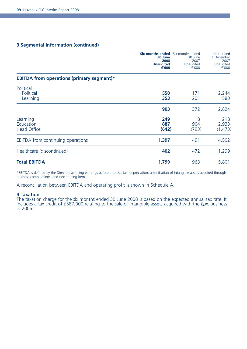### **3 Segmental information (continued)**

|                                                  | <b>Six months ended</b> Six months ended<br>30 June<br>2008<br><b>Unaudited</b><br>£'000 | 30 June<br>2007<br>Unaudited<br>f'000 | Year ended<br>31 December<br>2007<br>Unaudited<br>£'000 |
|--------------------------------------------------|------------------------------------------------------------------------------------------|---------------------------------------|---------------------------------------------------------|
| <b>EBITDA from operations (primary segment)*</b> |                                                                                          |                                       |                                                         |
| Political<br>Political<br>Learning               | 550<br>353                                                                               | 171<br>201                            | 2,244<br>580                                            |
|                                                  | 903                                                                                      | 372                                   | 2,824                                                   |
| Learning<br>Education<br><b>Head Office</b>      | 249<br>887<br>(642)                                                                      | 8<br>904<br>(793)                     | 218<br>2,933<br>(1, 473)                                |
| EBITDA from continuing operations                | 1,397                                                                                    | 491                                   | 4,502                                                   |
| Healthcare (discontinued)                        | 402                                                                                      | 472                                   | 1,299                                                   |
| <b>Total EBITDA</b>                              | 1,799                                                                                    | 963                                   | 5,801                                                   |

\*EBITDA is defined by the Directors as being earnings before interest, tax, depreciation, amortisation of intangible assets acquired through business combinations, and non-trading items.

A reconciliation between EBITDA and operating profit is shown in Schedule A.

#### **4 Taxation**

The taxation charge for the six months ended 30 June 2008 is based on the expected annual tax rate. It includes a tax credit of £587,000 relating to the sale of intangible assets acquired with the *Epic* business in 2005.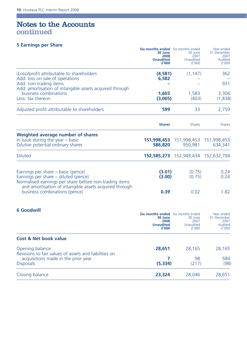a sa kacamatan ing Kabupatèn Kabupatèn Ing

### Notes to the Accounts continued

### **5 Earnings per Share Six months ended** Six months ended Six months ended

m.

|                                                                                                                                                                                                | <b>Six months ended</b> Six months ended<br>30 June<br>2008<br><b>Unaudited</b><br>£'000 | 30 June<br>2007<br>Unaudited<br>f'000                 | Year ended<br>31 December<br>2007<br>Audited<br>f'000 |
|------------------------------------------------------------------------------------------------------------------------------------------------------------------------------------------------|------------------------------------------------------------------------------------------|-------------------------------------------------------|-------------------------------------------------------|
| (Loss)/profit attributable to shareholders                                                                                                                                                     | (4,581)                                                                                  | (1, 147)                                              | 362                                                   |
| Add: loss on sale of operations<br>Add: non-trading items<br>Add: amortisation of intangible assets acquired through                                                                           | 6,582                                                                                    |                                                       | 931                                                   |
| business combinations<br>Less: tax thereon                                                                                                                                                     | 1.603<br>(3.005)                                                                         | 1,583<br>(403)                                        | 3,304<br>(1,838)                                      |
| Adjusted profit attributable to shareholders                                                                                                                                                   | 599                                                                                      | 33                                                    | 2,759                                                 |
|                                                                                                                                                                                                | <b>Shares</b>                                                                            | <b>Shares</b>                                         | <b>Shares</b>                                         |
| Weighted average number of shares<br>In issue during the year $-$ basic<br>Dilutive potential ordinary shares                                                                                  | 586,820                                                                                  | <b>151,998,453</b> 151,998,453 151,998,453<br>950,981 | 634,341                                               |
| <b>Diluted</b>                                                                                                                                                                                 |                                                                                          | 152,585,273 152,949,434 152,632,794                   |                                                       |
| Earnings per share – basic (pence)<br>Earnings per share – diluted (pence)<br>Normalised earnings per share before non-trading items<br>and amortisation of intangible assets acquired through | (3.01)<br>(3.00)                                                                         | (0.75)<br>(0.75)                                      | 0.24<br>0.24                                          |
| business combinations (pence)                                                                                                                                                                  | 0.39                                                                                     | 0.02                                                  | 1.82                                                  |
| <b>6 Goodwill</b>                                                                                                                                                                              | <b>Six months ended</b> Six months ended<br>30 June<br>2008<br><b>Unaudited</b><br>£'000 | 30 June<br>2007<br>Unaudited<br>f'000                 | Year ended<br>31 December<br>2007<br>Audited<br>£'000 |
| <b>Cost &amp; Net book value</b>                                                                                                                                                               |                                                                                          |                                                       |                                                       |
| Opening balance<br>Revisions to fair values of assets and liabilities on                                                                                                                       | 28,651                                                                                   | 28,165                                                | 28,165                                                |
| acquisitions made in the prior year<br><b>Disposals</b>                                                                                                                                        | 7<br>(5, 334)                                                                            | 98<br>(217)                                           | 584<br>(98)                                           |
| Closing balance                                                                                                                                                                                | 23,324                                                                                   | 28,046                                                | 28,651                                                |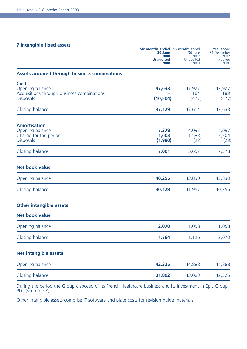### **7 Intangible fixed assets**

|                                                                                           | <b>Six months ended</b> Six months ended<br>30 June<br>2008<br><b>Unaudited</b><br>£'000 | 30 June<br>2007<br>Unaudited<br>f'000 | Year ended<br>31 December<br>2007<br>Audited<br>£'000 |
|-------------------------------------------------------------------------------------------|------------------------------------------------------------------------------------------|---------------------------------------|-------------------------------------------------------|
| Assets acquired through business combinations                                             |                                                                                          |                                       |                                                       |
| Cost<br>Opening balance<br>Acquisitions through business combinations<br><b>Disposals</b> | 47,633<br>(10, 504)                                                                      | 47,927<br>164<br>(477)                | 47,927<br>183<br>(477)                                |
| Closing balance                                                                           | 37,129                                                                                   | 47,614                                | 47,633                                                |
| <b>Amortisation</b><br>Opening balance<br>Charge for the period<br><b>Disposals</b>       | 7,378<br>1,603<br>(1,980)                                                                | 4,097<br>1,583<br>(23)                | 4,097<br>3,304<br>(23)                                |
| Closing balance                                                                           | 7,001                                                                                    | 5,657                                 | 7,378                                                 |
| Net book value                                                                            |                                                                                          |                                       |                                                       |
| Opening balance                                                                           | 40,255                                                                                   | 43,830                                | 43,830                                                |
| Closing balance                                                                           | 30,128                                                                                   | 41,957                                | 40,255                                                |
| <b>Other intangible assets</b>                                                            |                                                                                          |                                       |                                                       |
| <b>Net book value</b>                                                                     |                                                                                          |                                       |                                                       |
| Opening balance                                                                           | 2,070                                                                                    | 1,058                                 | 1,058                                                 |
| Closing balance                                                                           | 1,764                                                                                    | 1,126                                 | 2,070                                                 |
| <b>Net intangible assets</b>                                                              |                                                                                          |                                       |                                                       |
| Opening balance                                                                           | 42,325                                                                                   | 44,888                                | 44,888                                                |
| Closing balance                                                                           | 31,892                                                                                   | 43,083                                | 42,325                                                |
|                                                                                           |                                                                                          |                                       |                                                       |

During the period the Group disposed of its French Healthcare business and its investment in Epic Group PLC (see note 8).

Other intangible assets comprise IT software and plate costs for revision guide materials.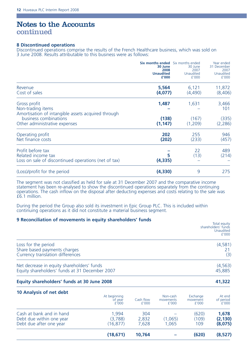### Notes to the Accounts continued

### **8 Discontinued operations**

Discontinued operations comprise the results of the French Healthcare business, which was sold on 3 June 2008. Results attributable to this business were as follows:

|                                                                                                 | <b>Six months ended</b> Six months ended<br>30 June<br>2008<br><b>Unaudited</b><br>£'000 | 30 June<br>2007<br>Unaudited<br>f'000 | Year ended<br>31 December<br>2007<br>Unaudited<br>£'000 |
|-------------------------------------------------------------------------------------------------|------------------------------------------------------------------------------------------|---------------------------------------|---------------------------------------------------------|
| Revenue<br>Cost of sales                                                                        | 5,564<br>(4,077)                                                                         | 6,121<br>(4,490)                      | 11,872<br>(8,406)                                       |
| Gross profit<br>Non-trading items<br>Amortisation of intangible assets acquired through         | 1,487                                                                                    | 1,631                                 | 3,466<br>101                                            |
| business combinations<br>Other administrative expenses                                          | (138)<br>(1, 147)                                                                        | (167)<br>(1,209)                      | (335)<br>(2,286)                                        |
| Operating profit<br>Net finance costs                                                           | 202<br>(202)                                                                             | 255<br>(233)                          | 946<br>(457)                                            |
| Profit before tax<br>Related income tax<br>Loss on sale of discontinued operations (net of tax) | 5<br>(4,335)                                                                             | 22<br>(13)                            | 489<br>(214)                                            |
| (Loss)/profit for the period                                                                    | (4,330)                                                                                  | 9                                     | 275                                                     |

The segment was not classified as held for sale at 31 December 2007 and the comparative income statement has been re-analysed to show the discontinued operations separately from the continuing operations. The cash inflow on the disposal after deducting expenses and costs relating to the sale was £6.1 million.

During the period the Group also sold its investment in Epic Group PLC. This is included within continuing operations as it did not constitute a material business segment.

### **9 Reconciliation of movements in equity shareholders' funds**

| 2 INCONNECTION OF HID FOREIGN THE CAULTY SHOPCHORUPS TURNS                                   | Total equity<br>shareholders' funds<br><b>Unaudited</b><br>f'000 |
|----------------------------------------------------------------------------------------------|------------------------------------------------------------------|
| Loss for the period<br>Share based payments charges<br>Currency translation differences      | (4,581)<br>(3)                                                   |
| Net decrease in equity shareholders' funds<br>Equity shareholders' funds at 31 December 2007 | (4, 563)<br>45,885                                               |

### **Equity shareholders' funds at 30 June 2008 41,322**

|                                                                                 | (18, 671)                        | 10.764                |                                | (620)                         | (8,527)                      |
|---------------------------------------------------------------------------------|----------------------------------|-----------------------|--------------------------------|-------------------------------|------------------------------|
| Cash at bank and in hand<br>Debt due within one year<br>Debt due after one year | 1.994<br>(3.788)<br>(16.877)     | 304<br>2.832<br>7.628 | (1,065)<br>1.065               | (620)<br>(109)<br>109         | 1.678<br>(2, 130)<br>(8,075) |
| 10 Analysis of net debt                                                         | At beginning<br>of year<br>f'000 | Cash flow<br>f'000    | Non-cash<br>movements<br>f'000 | Exchange<br>movement<br>f'000 | At end<br>of period<br>f'000 |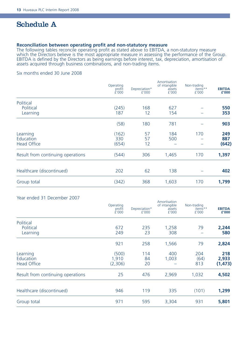### Schedule A

### **Reconciliation between operating profit and non-statutory measure**

The following tables reconcile operating profit as stated above to EBITDA, a non-statutory measure which the Directors believe is the most appropriate measure in assessing the performance of the Group. EBITDA is defined by the Directors as being earnings before interest, tax, depreciation, amortisation of assets acquired through business combinations, and non-trading items.

### Six months ended 30 June 2008

|                                   | Operating<br>profit<br>É'000 | Depreciation*<br>f'000 | Amortisation<br>of intangible<br>assets<br>£'000 | Non-trading<br>items**<br>f'000 | <b>EBITDA</b><br>£'000 |
|-----------------------------------|------------------------------|------------------------|--------------------------------------------------|---------------------------------|------------------------|
| Political                         |                              |                        |                                                  |                                 |                        |
| Political                         | (245)                        | 168                    | 627                                              |                                 | 550                    |
| Learning                          | 187                          | 12                     | 154                                              |                                 | 353                    |
|                                   | (58)                         | 180                    | 781                                              |                                 | 903                    |
| Learning                          | (162)                        | 57                     | 184                                              | 170                             | 249                    |
| Education                         | 330                          | 57                     | 500                                              |                                 | 887                    |
| <b>Head Office</b>                | (654)                        | 12                     |                                                  |                                 | (642)                  |
| Result from continuing operations | (544)                        | 306                    | 1,465                                            | 170                             | 1,397                  |
| Healthcare (discontinued)         | 202                          | 62                     | 138                                              |                                 | 402                    |
| Group total                       | (342)                        | 368                    | 1,603                                            | 170                             | 1,799                  |
|                                   |                              |                        |                                                  |                                 |                        |

| Year ended 31 December 2007       |                              |                        |                                                  |                                 |                        |
|-----------------------------------|------------------------------|------------------------|--------------------------------------------------|---------------------------------|------------------------|
|                                   | Operating<br>profit<br>É'000 | Depreciation*<br>f'000 | Amortisation<br>of intangible<br>assets<br>£'000 | Non-trading<br>items**<br>f'000 | <b>EBITDA</b><br>£'000 |
| Political                         |                              |                        |                                                  |                                 |                        |
| Political<br>Learning             | 672<br>249                   | 235<br>23              | 1,258<br>308                                     | 79                              | 2,244<br>580           |
|                                   | 921                          | 258                    | 1,566                                            | 79                              | 2,824                  |
| Learning<br>Education             | (500)                        | 114<br>84              | 400                                              | 204<br>(64)                     | 218                    |
| <b>Head Office</b>                | 1,910<br>(2,306)             | 20                     | 1,003                                            | 813                             | 2,933<br>(1, 473)      |
| Result from continuing operations | 25                           | 476                    | 2,969                                            | 1,032                           | 4,502                  |
| Healthcare (discontinued)         | 946                          | 119                    | 335                                              | (101)                           | 1,299                  |
| Group total                       | 971                          | 595                    | 3,304                                            | 931                             | 5,801                  |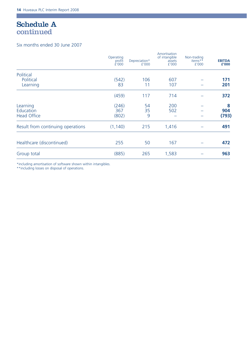### Schedule A continued

П

### Six months ended 30 June 2007

|                                   | Operating<br>profit<br>É'000 | Depreciation*<br>f'000 | Amortisation<br>of intangible<br>assets<br>f'000 | Non-trading<br>items**<br>f'000 | <b>EBITDA</b><br>£'000 |
|-----------------------------------|------------------------------|------------------------|--------------------------------------------------|---------------------------------|------------------------|
| Political                         |                              |                        |                                                  |                                 |                        |
| Political<br>Learning             | (542)<br>83                  | 106<br>11              | 607<br>107                                       |                                 | 171<br>201             |
|                                   | (459)                        | 117                    | 714                                              |                                 | 372                    |
| Learning<br>Education             | (246)<br>367                 | 54<br>35               | 200<br>502                                       |                                 | 8<br>904               |
| <b>Head Office</b>                | (802)                        | 9                      |                                                  |                                 | (793)                  |
| Result from continuing operations | (1, 140)                     | 215                    | 1,416                                            |                                 | 491                    |
| Healthcare (discontinued)         | 255                          | 50                     | 167                                              |                                 | 472                    |
| Group total                       | (885)                        | 265                    | 1,583                                            |                                 | 963                    |

\*including amortisation of software shown within intangibles.

\*\*including losses on disposal of operations.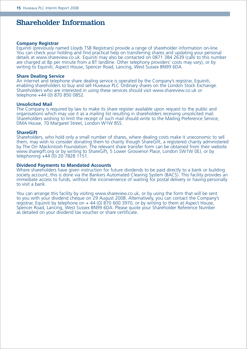### Shareholder Information

### **Company Registrar**

Equiniti (previously named Lloyds TSB Registrars) provide a range of shareholder information on-line. You can check your holding and find practical help on transferring shares and updating your personal details at www.shareview.co.uk. Equiniti may also be contacted on 0871 384 2639 (calls to this number are charged at 8p per minute from a BT landline. Other telephony providers' costs may vary), or by writing to Equiniti, Aspect House, Spencer Road, Lancing, West Sussex BN99 6DA.

#### **Share Dealing Service**

An internet and telephone share dealing service is operated by the Company's registrar, Equiniti, enabling shareholders to buy and sell Huveaux PLC Ordinary shares on the London Stock Exchange. Shareholders who are interested in using these services should visit www.shareview.co.uk or telephone +44 (0) 870 850 0852.

### **Unsolicited Mail**

The Company is required by law to make its share register available upon request to the public and organisations which may use it as a mailing list resulting in shareholders receiving unsolicited mail. Shareholders wishing to limit the receipt of such mail should write to the Mailing Preference Service, DMA House, 70 Margaret Street, London W1W 8SS.

#### **ShareGift**

Shareholders, who hold only a small number of shares, where dealing costs make it uneconomic to sell them, may wish to consider donating them to charity though ShareGift, a registered charity administered by The Orr Mackintosh Foundation. The relevant share transfer form can be obtained from their website www.sharegift.org or by writing to ShareGift, 5 Lower Grosvenor Place, London SW1W 0EJ, or by telephoning +44 (0) 20 7828 1151.

#### **Dividend Payments to Mandated Accounts**

Where shareholders have given instruction for future dividends to be paid directly to a bank or building society account, this is done via the Bankers Automated Clearing System (BACS). This facility provides an immediate access to funds, without the inconvenience of waiting for postal delivery or having personally to visit a bank.

You can arrange this facility by visiting www.shareview.co.uk, or by using the form that will be sent to you with your dividend cheque on 29 August 2008. Alternatively, you can contact the Company's registrar, Equiniti by telephone on + 44 (0) 870 600 3970, or by writing to them at Aspect House, Spencer Road, Lancing, West Sussex BN99 6DA. Please quote your Shareholder Reference Number as detailed on your dividend tax voucher or share certificate.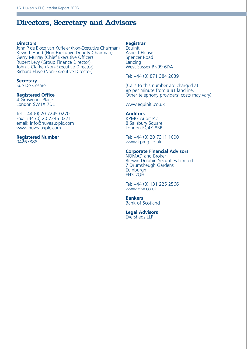### Directors, Secretary and Advisors

### **Directors**

John P de Blocq van Kuffeler (Non-Executive Chairman) Kevin L Hand (Non-Executive Deputy Chairman) Gerry Murray (Chief Executive Officer) Rupert Levy (Group Finance Director) John L Clarke (Non-Executive Director) Richard Flaye (Non-Executive Director)

#### **Secretary**  Sue De Cesare

### **Registered Office**

4 Grosvenor Place London SW1X 7DL

#### Tel: +44 (0) 20 7245 0270 Fax: +44 (0) 20 7245 0271 email: info@huveauxplc.com www.huveauxplc.com

#### **Registered Number** 04267888

### **Registrar**

**Equiniti** Aspect House Spencer Road **Lancing** West Sussex BN99 6DA

Tel: +44 (0) 871 384 2639

(Calls to this number are charged at 8p per minute from a BT landline. Other telephony providers' costs may vary)

www.equiniti.co.uk

### **Auditors**

KPMG Audit Plc 8 Salisbury Square London EC4Y 8BB

Tel: +44 (0) 20 7311 1000 www.kpmg.co.uk

#### **Corporate Financial Advisors**

NOMAD and Broker Brewin Dolphin Securities Limited 7 Drumsheugh Gardens Edinburgh EH3 7QH

Tel: +44 (0) 131 225 2566 www.blw.co.uk

**Bankers** Bank of Scotland

**Legal Advisors** Eversheds LLP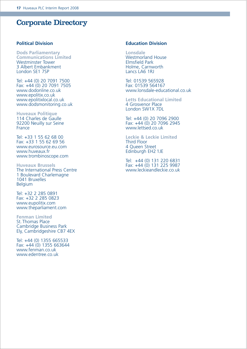### Corporate Directory

### **Political Division**

**Dods Parliamentary Communications Limited** Westminster Tower 3 Albert Embankment London SE1 7SP

Tel: +44 (0) 20 7091 7500 Fax: +44 (0) 20 7091 7505 www.dodonline.co.uk www.epolitix.co.uk www.epolitixlocal.co.uk www.dodsmonitoring.co.uk

**Huveaux Politique** 114 Charles de Gaulle 92200 Neuilly sur Seine France

Tel: +33 1 55 62 68 00 Fax: +33 1 55 62 69 56 www.eurosource.eu.com www.huveaux.fr www.trombinoscope.com

**Huveaux Brussels** The International Press Centre 1 Boulevard Charlemagne 1041 Bruxelles Belgium

Tel: +32 2 285 0891 Fax: +32 2 285 0823 www.eupolitix.com www.theparliament.com

**Fenman Limited** St. Thomas Place Cambridge Business Park Ely, Cambridgeshire CB7 4EX

Tel: +44 (0) 1355 665533 Fax: +44 (0) 1355 663644 www.fenman.co.uk www.edentree.co.uk

### **Education Division**

**Lonsdale** Westmorland House Elmsfield Park Holme, Carnworth Lancs LA6 1RJ

Tel: 01539 565928 Fax: 01539 564167 www.lonsdale-educational.co.uk

**Letts Educational Limited** 4 Grosvenor Place London SW1X 7DL

Tel: +44 (0) 20 7096 2900 Fax: +44 (0) 20 7096 2945 www.lettsed.co.uk

**Leckie & Leckie Limited** Third Floor 4 Queen Street Edinburgh EH2 1JE

Tel: +44 (0) 131 220 6831 Fax: +44 (0) 131 225 9987 www.leckieandleckie.co.uk